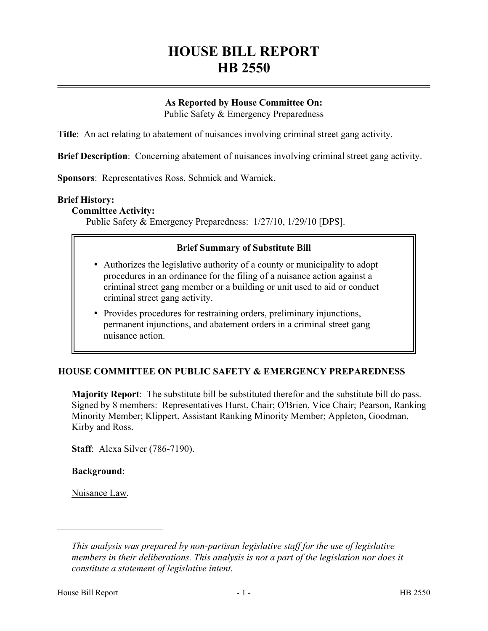# **HOUSE BILL REPORT HB 2550**

# **As Reported by House Committee On:**

Public Safety & Emergency Preparedness

**Title**: An act relating to abatement of nuisances involving criminal street gang activity.

**Brief Description**: Concerning abatement of nuisances involving criminal street gang activity.

**Sponsors**: Representatives Ross, Schmick and Warnick.

#### **Brief History:**

## **Committee Activity:**

Public Safety & Emergency Preparedness: 1/27/10, 1/29/10 [DPS].

## **Brief Summary of Substitute Bill**

- Authorizes the legislative authority of a county or municipality to adopt procedures in an ordinance for the filing of a nuisance action against a criminal street gang member or a building or unit used to aid or conduct criminal street gang activity.
- Provides procedures for restraining orders, preliminary injunctions, permanent injunctions, and abatement orders in a criminal street gang nuisance action.

## **HOUSE COMMITTEE ON PUBLIC SAFETY & EMERGENCY PREPAREDNESS**

**Majority Report**: The substitute bill be substituted therefor and the substitute bill do pass. Signed by 8 members: Representatives Hurst, Chair; O'Brien, Vice Chair; Pearson, Ranking Minority Member; Klippert, Assistant Ranking Minority Member; Appleton, Goodman, Kirby and Ross.

**Staff**: Alexa Silver (786-7190).

## **Background**:

Nuisance Law*.* 

––––––––––––––––––––––

*This analysis was prepared by non-partisan legislative staff for the use of legislative members in their deliberations. This analysis is not a part of the legislation nor does it constitute a statement of legislative intent.*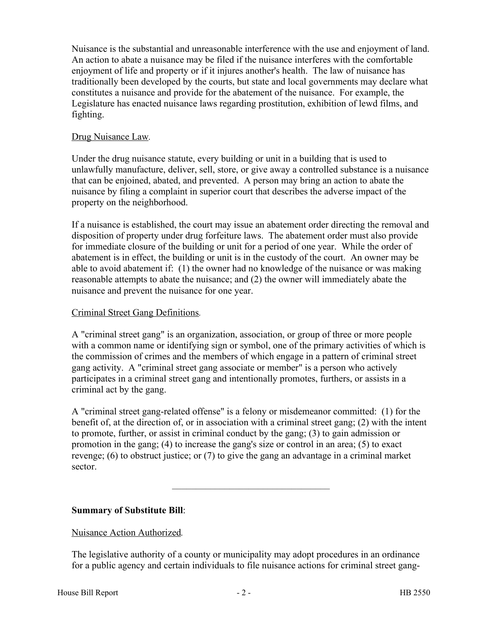Nuisance is the substantial and unreasonable interference with the use and enjoyment of land. An action to abate a nuisance may be filed if the nuisance interferes with the comfortable enjoyment of life and property or if it injures another's health. The law of nuisance has traditionally been developed by the courts, but state and local governments may declare what constitutes a nuisance and provide for the abatement of the nuisance. For example, the Legislature has enacted nuisance laws regarding prostitution, exhibition of lewd films, and fighting.

## Drug Nuisance Law*.*

Under the drug nuisance statute, every building or unit in a building that is used to unlawfully manufacture, deliver, sell, store, or give away a controlled substance is a nuisance that can be enjoined, abated, and prevented. A person may bring an action to abate the nuisance by filing a complaint in superior court that describes the adverse impact of the property on the neighborhood.

If a nuisance is established, the court may issue an abatement order directing the removal and disposition of property under drug forfeiture laws. The abatement order must also provide for immediate closure of the building or unit for a period of one year. While the order of abatement is in effect, the building or unit is in the custody of the court. An owner may be able to avoid abatement if: (1) the owner had no knowledge of the nuisance or was making reasonable attempts to abate the nuisance; and (2) the owner will immediately abate the nuisance and prevent the nuisance for one year.

## Criminal Street Gang Definitions*.*

A "criminal street gang" is an organization, association, or group of three or more people with a common name or identifying sign or symbol, one of the primary activities of which is the commission of crimes and the members of which engage in a pattern of criminal street gang activity. A "criminal street gang associate or member" is a person who actively participates in a criminal street gang and intentionally promotes, furthers, or assists in a criminal act by the gang.

A "criminal street gang-related offense" is a felony or misdemeanor committed: (1) for the benefit of, at the direction of, or in association with a criminal street gang; (2) with the intent to promote, further, or assist in criminal conduct by the gang; (3) to gain admission or promotion in the gang; (4) to increase the gang's size or control in an area; (5) to exact revenge; (6) to obstruct justice; or (7) to give the gang an advantage in a criminal market sector.

–––––––––––––––––––––––––––––––––

# **Summary of Substitute Bill**:

Nuisance Action Authorized*.*

The legislative authority of a county or municipality may adopt procedures in an ordinance for a public agency and certain individuals to file nuisance actions for criminal street gang-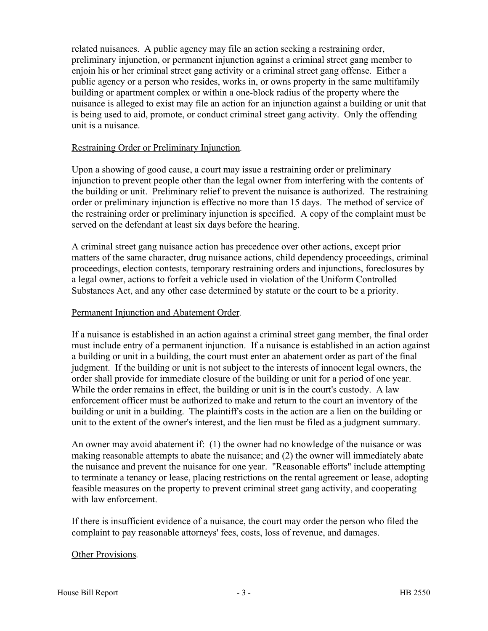related nuisances. A public agency may file an action seeking a restraining order, preliminary injunction, or permanent injunction against a criminal street gang member to enjoin his or her criminal street gang activity or a criminal street gang offense. Either a public agency or a person who resides, works in, or owns property in the same multifamily building or apartment complex or within a one-block radius of the property where the nuisance is alleged to exist may file an action for an injunction against a building or unit that is being used to aid, promote, or conduct criminal street gang activity. Only the offending unit is a nuisance.

## Restraining Order or Preliminary Injunction*.*

Upon a showing of good cause, a court may issue a restraining order or preliminary injunction to prevent people other than the legal owner from interfering with the contents of the building or unit. Preliminary relief to prevent the nuisance is authorized. The restraining order or preliminary injunction is effective no more than 15 days. The method of service of the restraining order or preliminary injunction is specified. A copy of the complaint must be served on the defendant at least six days before the hearing.

A criminal street gang nuisance action has precedence over other actions, except prior matters of the same character, drug nuisance actions, child dependency proceedings, criminal proceedings, election contests, temporary restraining orders and injunctions, foreclosures by a legal owner, actions to forfeit a vehicle used in violation of the Uniform Controlled Substances Act, and any other case determined by statute or the court to be a priority.

#### Permanent Injunction and Abatement Order*.*

If a nuisance is established in an action against a criminal street gang member, the final order must include entry of a permanent injunction. If a nuisance is established in an action against a building or unit in a building, the court must enter an abatement order as part of the final judgment. If the building or unit is not subject to the interests of innocent legal owners, the order shall provide for immediate closure of the building or unit for a period of one year. While the order remains in effect, the building or unit is in the court's custody. A law enforcement officer must be authorized to make and return to the court an inventory of the building or unit in a building. The plaintiff's costs in the action are a lien on the building or unit to the extent of the owner's interest, and the lien must be filed as a judgment summary.

An owner may avoid abatement if: (1) the owner had no knowledge of the nuisance or was making reasonable attempts to abate the nuisance; and (2) the owner will immediately abate the nuisance and prevent the nuisance for one year. "Reasonable efforts" include attempting to terminate a tenancy or lease, placing restrictions on the rental agreement or lease, adopting feasible measures on the property to prevent criminal street gang activity, and cooperating with law enforcement.

If there is insufficient evidence of a nuisance, the court may order the person who filed the complaint to pay reasonable attorneys' fees, costs, loss of revenue, and damages.

## Other Provisions*.*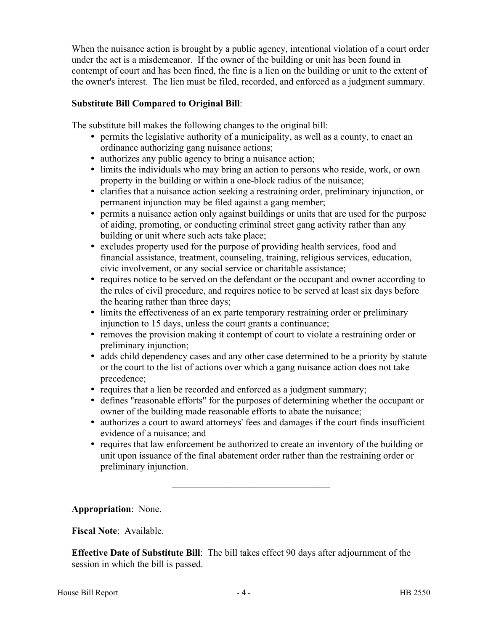When the nuisance action is brought by a public agency, intentional violation of a court order under the act is a misdemeanor. If the owner of the building or unit has been found in contempt of court and has been fined, the fine is a lien on the building or unit to the extent of the owner's interest. The lien must be filed, recorded, and enforced as a judgment summary.

# **Substitute Bill Compared to Original Bill**:

The substitute bill makes the following changes to the original bill:

- permits the legislative authority of a municipality, as well as a county, to enact an ordinance authorizing gang nuisance actions;
- authorizes any public agency to bring a nuisance action;
- limits the individuals who may bring an action to persons who reside, work, or own property in the building or within a one-block radius of the nuisance;
- clarifies that a nuisance action seeking a restraining order, preliminary injunction, or permanent injunction may be filed against a gang member;
- permits a nuisance action only against buildings or units that are used for the purpose of aiding, promoting, or conducting criminal street gang activity rather than any building or unit where such acts take place;
- excludes property used for the purpose of providing health services, food and financial assistance, treatment, counseling, training, religious services, education, civic involvement, or any social service or charitable assistance;
- requires notice to be served on the defendant or the occupant and owner according to the rules of civil procedure, and requires notice to be served at least six days before the hearing rather than three days;
- limits the effectiveness of an ex parte temporary restraining order or preliminary injunction to 15 days, unless the court grants a continuance;
- removes the provision making it contempt of court to violate a restraining order or preliminary injunction;
- adds child dependency cases and any other case determined to be a priority by statute or the court to the list of actions over which a gang nuisance action does not take precedence;
- requires that a lien be recorded and enforced as a judgment summary;
- defines "reasonable efforts" for the purposes of determining whether the occupant or owner of the building made reasonable efforts to abate the nuisance;
- authorizes a court to award attorneys' fees and damages if the court finds insufficient evidence of a nuisance; and
- requires that law enforcement be authorized to create an inventory of the building or unit upon issuance of the final abatement order rather than the restraining order or preliminary injunction.

–––––––––––––––––––––––––––––––––

**Appropriation**: None.

**Fiscal Note**: Available.

**Effective Date of Substitute Bill**: The bill takes effect 90 days after adjournment of the session in which the bill is passed.